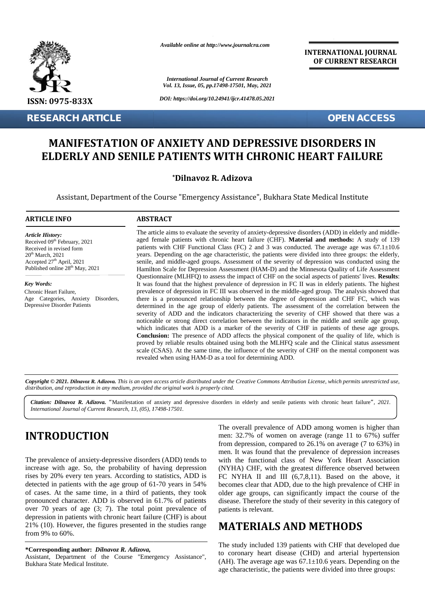

**RESEARCH ARTICLE OPEN ACCESS**

*Available online at http://www.journalcra.com*

*International Journal of Current Research Vol. 13, Issue, 05, pp.17498-17501, May, 2021*

*DOI: https://doi.org/10.24941/ijcr.41478.05.2021*

**INTERNATIONAL JOURNAL OF CURRENT RESEARCH**

## **MANIFESTATION OF ANXIETY AND DEPRESSIVE DISORDERS IN ELDERLY AND SENILE PATIENTS WITH CHRONIC HEART FAILURE**

#### **\*Dilnavoz R. Adizova \*R. Adizova**

Assistant, Department of the Course "Emergency Assistance", Bukhara State Medical Institute

#### **ARTICLE INFO ABSTRACT ARTICLE ABSTRACT**

*Article History: ArticleHistory:*Received 09<sup>th</sup> February, 2021 Received in revised form Received in revised form  $20<sup>th</sup> March, 2021$ Accepted  $27<sup>th</sup>$  April, 2021 s Published online  $28^{th}$  May,  $2021$ 

*Key Words:* Chronic Heart Failure, Age Categories, Anxiety Disorders, Depressive Disorder Patients

The article aims to evaluate the severity of anxiety-depressive disorders (ADD) in elderly and middle aged female patients with chronic heart failure (CHF). **Material and methods:** A study of 139 patients with CHF Functional Class (FC) 2 and 3 was conducted. The average age was  $67.1 \pm 10.6$ years. Depending on the age characteristic, the patients were divided into three groups: the elderly, senile, and middle-aged groups. Assessment of the severity of depression was conducted using the Hamilton Scale for Depression Assessment (HAM-D) and the Minnesota Quality of Life Assessment Questionnaire (MLHFQ) to assess the impact of CHF on the social aspects of patients' lives. **Results**: It was found that the highest prevalence of depression in FC II was in elderly patients. The highest prevalence of depression in FC III was observed in the middle-aged group. The analysis showed that there is a pronounced relationship between the degree of depression and CHF FC, which was determined in the age group of elderly patients. The assessment of the correlation between the severity of ADD and the indicators characterizing the severity of CHF showed that there was a noticeable or strong direct correlation between the indicators in the middle and senile age group, determined in the age group of elderly patients. The assessment of the correlation between the severity of CHF in patients and noticeable or strong direct correlation between the indicators in the middle and senile age gro **Conclusion:** The presence of ADD affects the physical component of the quality of life, which is proved by reliable results obtained using both the MLHFQ scale and the Clinical status assessment scale (CSAS). At the same time, the influence of the severity of CHF on the mental component was revealed when using HAM-D as a tool for determining ADD. The article aims to evaluate the severity of anxiety-depressive disorders (ADD) in elderly and middle-<br>aged female patients with chronic heart failure (CHF). **Material and methods:** A study of 139<br>patients with CHF Functio **Conclusion:** The presence of ADD affects the physical component of the quality of life, which is proved by reliable results obtained using both the MLHFQ scale and the Clinical status assessment scale (CSAS). At the same **EXERCISE CONFIDENTIAL CONTRACT CONFIDENTIAL CONTRACT CONFIDENTIAL CONFIDENTIAL CONFIDENTIAL CONFIDENTIAL CONFIDENTIAL CONFIDENTIAL CONFIDENTIAL CONFIDENTIAL CONFIDENTIAL CONFIDENTIAL CONFIDENTIAL CONFIDENTIAL CONFIDENTIA RESEARCH ARTICLE**<br> **MANIFESTATION OF ANXIETY AND DEPRESSIVE DISORDERS IN<br>
ELDERLY AND SENILE PATIENTS WITH CHRONIC HEART FAILURE<br>
"Dilnavoz R. Adizova<br>
Assistant, Department of the Course "Emergency Assistance", Bukhara S Proprints (April, 2021**<br> **Proprimesology**<br> **Proprimesology**<br> **Proprimesology**<br> **Proprimesology**<br> **Proprimesology**<br> **Research,13,(02)**<br> **Research,13,(02)**<br> **Research,13,(02)**<br> **Research,13,(05), 17498-1750)**<br> **Research,** *R* determined in the age group of elderly patients. The assessment of the correlation<br>determined in the age group of elderly patients. The assessment of the correlation<br>severity of ADD and the indicators characterizing the se

**Copyright © 2021. Dilnavoz R. Adizova.** This is an open access article distributed under the Creative Commons Attribution License, which permits unrestricted use,<br>distribution, and reproduction in any medium, provided the *distribution, and reproduction in any medium, provided the original work is properly cited.*

Citation: Dilnavoz R. Adizova. "Manifestation of anxiety and depressive disorders in elderly and senile patients with chronic heart failure", 2021. *International Journal of Current Research, 13, (05), 17498-17501.*

# **INTRODUCTION INTRODUCTION**

The prevalence of anxiety-depressive disorders (ADD) tends to increase with age. So, the probability of having depression rises by 20% every ten years. According to statistics, ADD is detected in patients with the age group of 61-70 years in 54% of cases. At the same time, in a third of patients, they took The prevalence of anxiety-depressive disorders (ADD) tends to<br>increase with age. So, the probability of having depression (N<br>rises by 20% every ten years. According to statistics, ADD is FC<br>detected in patients with the ag over 70 years of age (3; 7). The total point prevalence of depression in patients with chronic heart failure (CHF) is about 21% (10). However, the figures presented in the studies range from 9% to 60%. over 70 years of age (3; 7). The total point<br>depression in patients with chronic heart failure<br>21% (10). However, the figures presented in th<br>from 9% to 60%.

**\*Corresponding author:** *Dilnavoz R. Adizova,* **\*Corresponding** *R. Adizova,*Assistant, Department of the Course "Emergency Assistance", Bukhara State Medical Institute.

The overall prevalence of ADD among women is higher than men: 32.7% of women on average (range 11 to 67%) suffer from depression, compared to 26.1% on average (7 to 63%) in men. It was found that the prevalence of depression increases with the functional class of New York Heart Association (NYHA) CHF, with the greatest difference observed between FC NYHA II and III (6,7,8,11). Based on the above, it becomes clear that ADD, due to the high prevalence of CHF in older age groups, can significantly impact the course of the disease. Therefore the study of their severity in this category of patients is relevant.

## **MATERIALS AND METHODS**

The study included 139 patients with CHF that developed due to coronary heart disease (CHD) and arterial hypertension (AH). The average age was  $67.1 \pm 10.6$  years. Depending on the age characteristic, the patients were divided into three groups: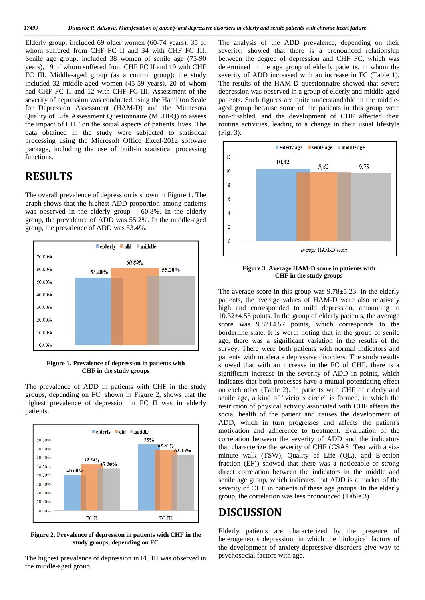Elderly group: included 69 older women (60-74 years), 35 of whom suffered from CHF FC II and 34 with CHF FC III. Senile age group: included 38 women of senile age (75-90 years), 19 of whom suffered from CHF FC II and 19 with CHF FC III. Middle-aged group (as a control group): the study included 32 middle-aged women (45-59 years), 20 of whom had CHF FC II and 12 with CHF FC III. Assessment of the severity of depression was conducted using the Hamilton Scale for Depression Assessment (HAM-D) and the Minnesota Quality of Life Assessment Questionnaire (MLHFQ) to assess the impact of CHF on the social aspects of patients' lives. The data obtained in the study were subjected to statistical processing using the Microsoft Office Excel-2012 software package, including the use of built-in statistical processing functions.

## **RESULTS**

The overall prevalence of depression is shown in Figure 1. The graph shows that the highest ADD proportion among patients was observed in the elderly group – 60.8%. In the elderly  $\frac{1}{4}$ group, the prevalence of ADD was 55.2%. In the middle-aged group, the prevalence of ADD was 53.4%.



**Figure 1. Prevalence of depression in patients with CHF in the study groups**

The prevalence of ADD in patients with CHF in the study groups, depending on FC, shown in Figure 2, shows that the highest prevalence of depression in FC II was in elderly patients.



**Figure 2. Prevalence of depression in patients with CHF in the study groups, depending on FC**

The highest prevalence of depression in FC III was observed in the middle-aged group.

The analysis of the ADD prevalence, depending on their severity, showed that there is a pronounced relationship between the degree of depression and CHF FC, which was determined in the age group of elderly patients, in whom the severity of ADD increased with an increase in FC (Table 1). The results of the HAM-D questionnaire showed that severe depression was observed in a group of elderly and middle-aged patients. Such figures are quite understandable in the middle aged group because some of the patients in this group were non-disabled, and the development of CHF affected their routine activities, leading to a change in their usual lifestyle (Fig. 3).



**Figure 3. Average HAM-D score in patients with CHF in the study groups**

The average score in this group was 9.78±5.23. In the elderly patients, the average values of HAM-D were also relatively high and corresponded to mild depression, amounting to 10.32±4.55 points. In the group of elderly patients, the average score was  $9.82 \pm 4.57$  points, which corresponds to the borderline state. It is worth noting that in the group of senile age, there was a significant variation in the results of the survey. There were both patients with normal indicators and patients with moderate depressive disorders. The study results showed that with an increase in the FC of CHF, there is a significant increase in the severity of ADD in points, which indicates that both processes have a mutual potentiating effect on each other (Table 2). In patients with CHF of elderly and senile age, a kind of "vicious circle" is formed, in which the restriction of physical activity associated with CHF affects the social health of the patient and causes the development of ADD, which in turn progresses and affects the patient's motivation and adherence to treatment. Evaluation of the correlation between the severity of ADD and the indicators that characterize the severity of CHF (CSAS, Test with a six minute walk (TSW), Quality of Life (QL), and Ejection fraction (EF)) showed that there was a noticeable or strong direct correlation between the indicators in the middle and senile age group, which indicates that ADD is a marker of the severity of CHF in patients of these age groups. In the elderly group, the correlation was less pronounced (Table 3).

### **DISCUSSION**

Elderly patients are characterized by the presence of heterogeneous depression, in which the biological factors of the development of anxiety-depressive disorders give way to psychosocial factors with age.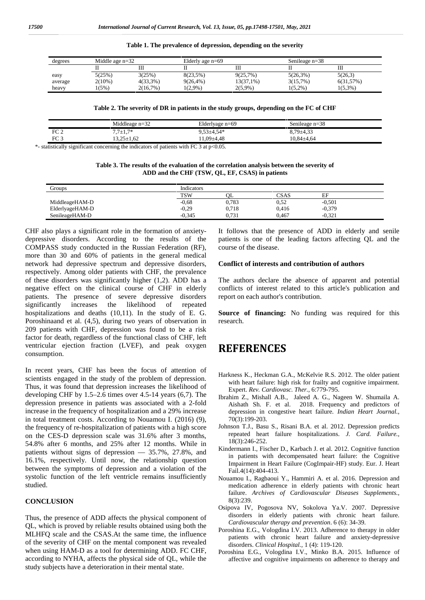| Table 1. The prevalence of depression, depending on the severity |  |  |
|------------------------------------------------------------------|--|--|
|                                                                  |  |  |

| degrees | Middle age $n=32$ |             | Elderly age $n=69$ |            | Senileage $n=38$ |            |
|---------|-------------------|-------------|--------------------|------------|------------------|------------|
|         |                   | Ш           |                    | Ш          |                  | Ш          |
| easy    | 5(25%)            | 3(25%)      | 8(23.5%)           | 9(25,7%)   | $5(26,3\%)$      | 5(26,3)    |
| average | $2(10\%)$         | $4(33,3\%)$ | $9(26.4\%)$        | 13(37,1%)  | 3(15,7%)         | 6(31,57%)  |
| heavy   | (5%)              | 2(16,7%)    | $1(2.9\%)$         | $2(5,9\%)$ | $1(5.2\%)$       | $1(5.3\%)$ |

**Table 2. The severity of DR in patients in the study groups, depending on the FC of CHF**

|                 | Middleage $n=32$                                                                               | Elderlyage $n=69$            | Senileage $n=38$ |  |
|-----------------|------------------------------------------------------------------------------------------------|------------------------------|------------------|--|
| FC <sub>2</sub> | $7.7 \pm 1.7*$                                                                                 | $9.53 \pm 4.54$ <sup>*</sup> | $8.79 \pm 4.33$  |  |
| FC <sub>3</sub> | 13.25±1.62                                                                                     | $1.09 + 4.48$                | $10.84{\pm}4.64$ |  |
|                 | statistically significant concerning the indicators of patients with $FC$ 3 at $r \wedge 0.05$ |                              |                  |  |

statistically significant concerning the indicators of patients with FC 3 at  $p<0.05$ .

| Table 3. The results of the evaluation of the correlation analysis between the severity of |
|--------------------------------------------------------------------------------------------|
| ADD and the CHF (TSW, QL, EF, CSAS) in patients                                            |

| Groups          | <b>Indicators</b> |       |       |          |
|-----------------|-------------------|-------|-------|----------|
|                 | <b>TSW</b>        | ОL    | CSAS  | EF       |
| MiddleageHAM-D  | $-0.68$           | 0,783 | 0,52  | $-0.501$ |
| ElderlyageHAM-D | $-0.29$           | 0,718 | 0,416 | $-0.379$ |
| SenileageHAM-D  | $-0.345$          | 0.731 | 0.467 | $-0.321$ |

CHF also plays a significant role in the formation of anxiety depressive disorders. According to the results of the COMPASS study conducted in the Russian Federation (RF), more than 30 and 60% of patients in the general medical network had depressive spectrum and depressive disorders, respectively. Among older patients with CHF, the prevalence of these disorders was significantly higher (1,2). ADD has a negative effect on the clinical course of CHF in elderly patients. The presence of severe depressive disorders significantly increases the likelihood of repeated hospitalizations and deaths (10,11). In the study of E. G. Poroshinaand et al. (4,5), during two years of observation in 209 patients with CHF, depression was found to be a risk factor for death, regardless of the functional class of CHF, left ventricular ejection fraction (LVEF), and peak oxygen consumption.

In recent years, CHF has been the focus of attention of scientists engaged in the study of the problem of depression. Thus, it was found that depression increases the likelihood of developing CHF by  $1.5-2.6$  times over 4.5-14 years  $(6,7)$ . The depression presence in patients was associated with a 2-fold increase in the frequency of hospitalization and a 29% increase in total treatment costs. According to Nouamou I. (2016) (9), the frequency of re-hospitalization of patients with a high score on the CES-D depression scale was 31.6% after 3 months, 54.8% after 6 months, and 25% after 12 months. While in patients without signs of depression — 35.7%, 27.8%, and 16.1%, respectively. Until now, the relationship question between the symptoms of depression and a violation of the systolic function of the left ventricle remains insufficiently studied.

#### **CONCLUSION**

Thus, the presence of ADD affects the physical component of QL, which is proved by reliable results obtained using both the MLHFQ scale and the CSAS.At the same time, the influence of the severity of CHF on the mental component was revealed when using HAM-D as a tool for determining ADD. FC CHF, according to NYHA, affects the physical side of QL, while the study subjects have a deterioration in their mental state.

It follows that the presence of ADD in elderly and senile patients is one of the leading factors affecting QL and the course of the disease.

#### **Conflict of interests and contribution of authors**

The authors declare the absence of apparent and potential conflicts of interest related to this article's publication and report on each author's contribution.

**Source of financing:** No funding was required for this research.

### **REFERENCES**

- Harkness K., Heckman G.A., McKelvie R.S. 2012. The older patient with heart failure: high risk for frailty and cognitive impairment. Expert. *Rev. Cardiovasc. Ther.,* 6:779-795.
- Ibrahim Z., Mishall A.B., Jaleed A. G., Nageen W. Shumaila A. Aishath Sh. F. et al. 2018. Frequency and predictors of depression in congestive heart failure. *Indian Heart Journal.,* 70(3):199-203.
- Johnson T.J., Basu S., Risani B.A. et al. 2012. Depression predicts repeated heart failure hospitalizations. *J. Card. Failure.,* 18(3):246-252.
- Kindermann I., Fischer D., Karbach J. et al. 2012. Cognitive function in patients with decompensated heart failure: the Cognitive Impairment in Heart Failure (CogImpair-HF) study. Eur. J. Heart Fail.4(14):404-413.
- Nouamou I., Ragbaoui Y., Hammiri A. et al. 2016. Depression and medication adherence in elderly patients with chronic heart failure. *Archives of Cardiovascular Diseases Supplements.,* 8(3):239.
- Osipova IV, Pogosova NV, Sokolova Ya.V. 2007. Depressive disorders in elderly patients with chronic heart failure. *Cardiovascular therapy and prevention*. 6 (6): 34-39.
- Poroshina E.G., Vologdina I.V. 2013. Adherence to therapy in older patients with chronic heart failure and anxiety-depressive disorders. *Clinical Hospital.,* 1 (4): 119-120.
- Poroshina E.G., Vologdina I.V., Minko B.A. 2015. Influence of affective and cognitive impairments on adherence to therapy and